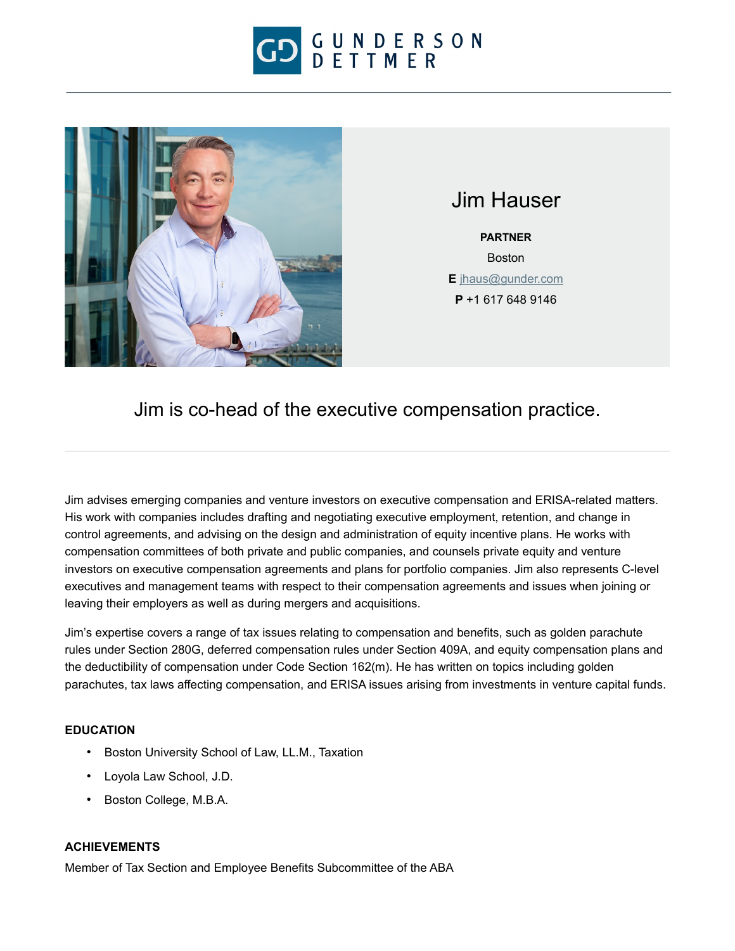



Jim Hauser

**PARTNER** Boston **E** [jhaus@gunder.com](mailto:jhaus@gunder.com) **P** +1 617 648 9146

Jim is co-head of the executive compensation practice.

Jim advises emerging companies and venture investors on executive compensation and ERISA-related matters. His work with companies includes drafting and negotiating executive employment, retention, and change in control agreements, and advising on the design and administration of equity incentive plans. He works with compensation committees of both private and public companies, and counsels private equity and venture investors on executive compensation agreements and plans for portfolio companies. Jim also represents C-level executives and management teams with respect to their compensation agreements and issues when joining or leaving their employers as well as during mergers and acquisitions.

Jim's expertise covers a range of tax issues relating to compensation and benefits, such as golden parachute rules under Section 280G, deferred compensation rules under Section 409A, and equity compensation plans and the deductibility of compensation under Code Section 162(m). He has written on topics including golden parachutes, tax laws affecting compensation, and ERISA issues arising from investments in venture capital funds.

## **EDUCATION**

- Boston University School of Law, LL.M., Taxation
- Loyola Law School, J.D.
- Boston College, M.B.A.

## **ACHIEVEMENTS**

Member of Tax Section and Employee Benefits Subcommittee of the ABA